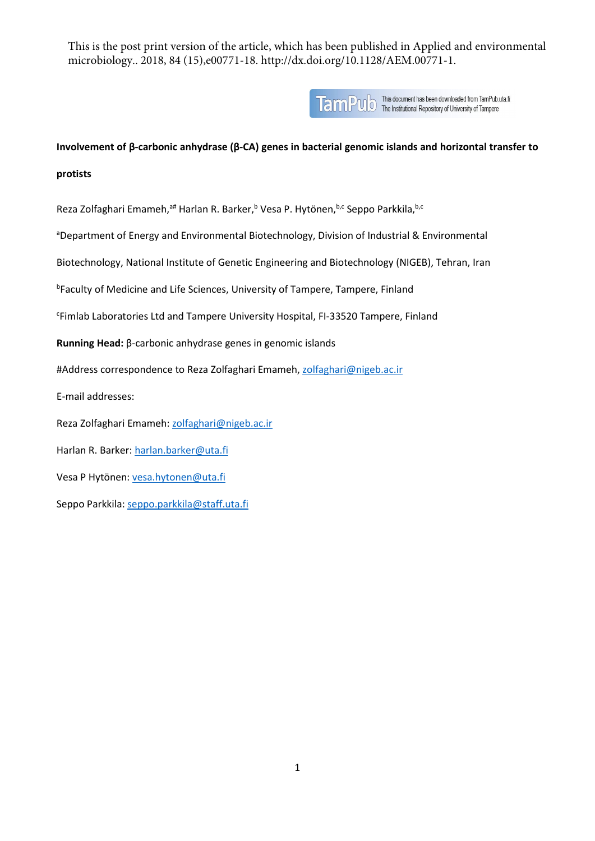This is the post print version of the article, which has been published in Applied and environmental microbiology.. 2018, 84 (15),e00771-18. http://dx.doi.org/10.1128/AEM.00771-1.



**TamPUD** This document has been downloaded from TamPub.uta.fi<br>Tampere

**Involvement of β-carbonic anhydrase (β-CA) genes in bacterial genomic islands and horizontal transfer to** 

**protists**

Reza Zolfaghari Emameh,<sup>a#</sup> Harlan R. Barker,<sup>b</sup> Vesa P. Hytönen,<sup>b,c</sup> Seppo Parkkila, <sup>b,c</sup>

<sup>a</sup>Department of Energy and Environmental Biotechnology, Division of Industrial & Environmental

Biotechnology, National Institute of Genetic Engineering and Biotechnology (NIGEB), Tehran, Iran

**<sup>b</sup>Faculty of Medicine and Life Sciences, University of Tampere, Tampere, Finland** 

c Fimlab Laboratories Ltd and Tampere University Hospital, FI-33520 Tampere, Finland

**Running Head:** β-carbonic anhydrase genes in genomic islands

#Address correspondence to Reza Zolfaghari Emameh, zolfaghari@nigeb.ac.ir

E-mail addresses:

Reza Zolfaghari Emameh: zolfaghari@nigeb.ac.ir

Harlan R. Barker: [harlan.barker@uta.fi](mailto:harlan.barker@uta.fi)

Vesa P Hytönen: [vesa.hytonen@uta.fi](mailto:vesa.hytonen@uta.fi)

Seppo Parkkila[: seppo.parkkila@staff.uta.fi](mailto:seppo.parkkila@staff.uta.fi)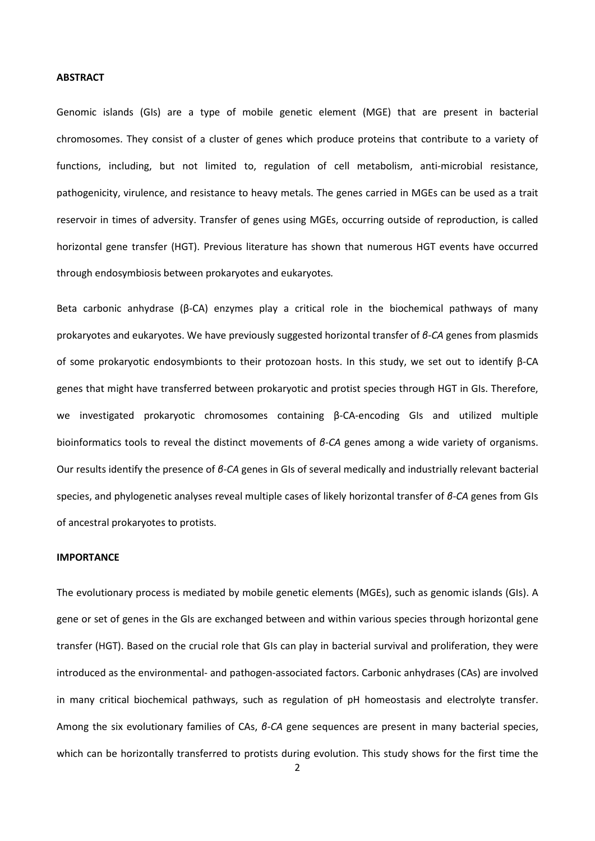#### **ABSTRACT**

Genomic islands (GIs) are a type of mobile genetic element (MGE) that are present in bacterial chromosomes. They consist of a cluster of genes which produce proteins that contribute to a variety of functions, including, but not limited to, regulation of cell metabolism, anti-microbial resistance, pathogenicity, virulence, and resistance to heavy metals. The genes carried in MGEs can be used as a trait reservoir in times of adversity. Transfer of genes using MGEs, occurring outside of reproduction, is called horizontal gene transfer (HGT). Previous literature has shown that numerous HGT events have occurred through endosymbiosis between prokaryotes and eukaryotes*.* 

Beta carbonic anhydrase (β-CA) enzymes play a critical role in the biochemical pathways of many prokaryotes and eukaryotes. We have previously suggested horizontal transfer of *β-CA* genes from plasmids of some prokaryotic endosymbionts to their protozoan hosts. In this study, we set out to identify β-CA genes that might have transferred between prokaryotic and protist species through HGT in GIs. Therefore, we investigated prokaryotic chromosomes containing β-CA-encoding GIs and utilized multiple bioinformatics tools to reveal the distinct movements of *β-CA* genes among a wide variety of organisms. Our results identify the presence of *β-CA* genes in GIs of several medically and industrially relevant bacterial species, and phylogenetic analyses reveal multiple cases of likely horizontal transfer of *β-CA* genes from GIs of ancestral prokaryotes to protists.

#### **IMPORTANCE**

The evolutionary process is mediated by mobile genetic elements (MGEs), such as genomic islands (GIs). A gene or set of genes in the GIs are exchanged between and within various species through horizontal gene transfer (HGT). Based on the crucial role that GIs can play in bacterial survival and proliferation, they were introduced as the environmental- and pathogen-associated factors. Carbonic anhydrases (CAs) are involved in many critical biochemical pathways, such as regulation of pH homeostasis and electrolyte transfer. Among the six evolutionary families of CAs, *β-CA* gene sequences are present in many bacterial species, which can be horizontally transferred to protists during evolution. This study shows for the first time the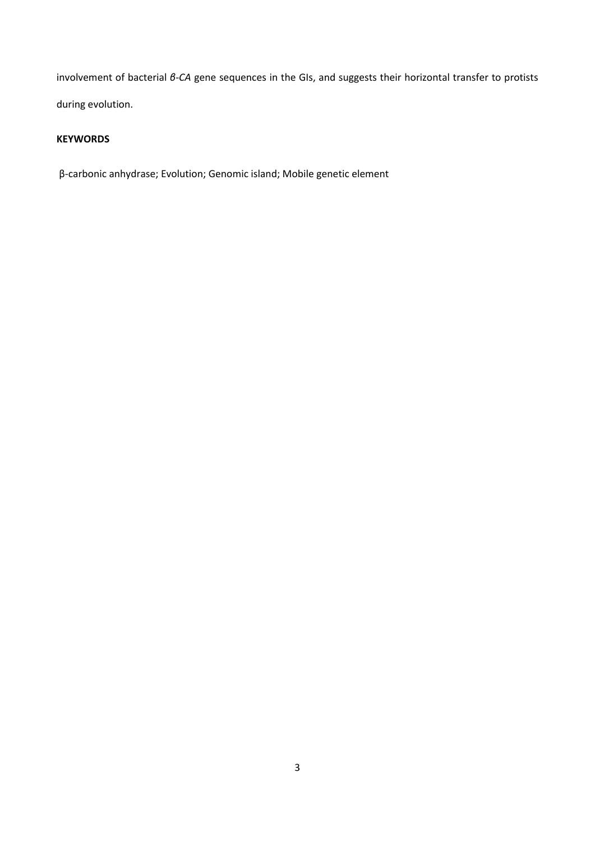involvement of bacterial *β-CA* gene sequences in the GIs, and suggests their horizontal transfer to protists during evolution.

# **KEYWORDS**

β-carbonic anhydrase; Evolution; Genomic island; Mobile genetic element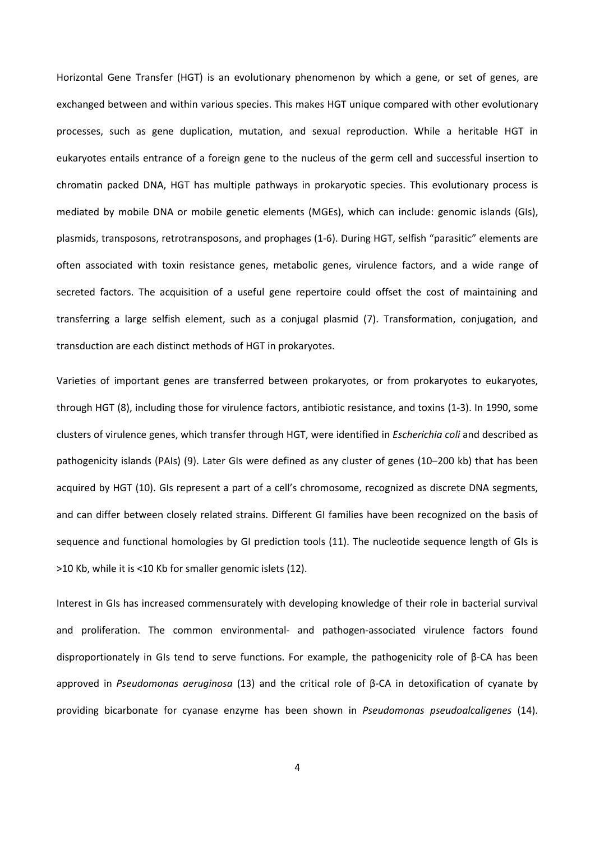Horizontal Gene Transfer (HGT) is an evolutionary phenomenon by which a gene, or set of genes, are exchanged between and within various species. This makes HGT unique compared with other evolutionary processes, such as gene duplication, mutation, and sexual reproduction. While a heritable HGT in eukaryotes entails entrance of a foreign gene to the nucleus of the germ cell and successful insertion to chromatin packed DNA, HGT has multiple pathways in prokaryotic species. This evolutionary process is mediated by mobile DNA or mobile genetic elements (MGEs), which can include: genomic islands (GIs), plasmids, transposons, retrotransposons, and prophages [\(1-6\)](#page-12-0). During HGT, selfish "parasitic" elements are often associated with toxin resistance genes, metabolic genes, virulence factors, and a wide range of secreted factors. The acquisition of a useful gene repertoire could offset the cost of maintaining and transferring a large selfish element, such as a conjugal plasmid [\(7\)](#page-12-1). Transformation, conjugation, and transduction are each distinct methods of HGT in prokaryotes.

Varieties of important genes are transferred between prokaryotes, or from prokaryotes to eukaryotes, through HGT [\(8\)](#page-13-0), including those for virulence factors, antibiotic resistance, and toxins [\(1-3\)](#page-12-0). In 1990, some clusters of virulence genes, which transfer through HGT, were identified in *Escherichia coli* and described as pathogenicity islands (PAIs) [\(9\)](#page-13-1). Later GIs were defined as any cluster of genes (10–200 kb) that has been acquired by HGT [\(10\)](#page-13-2). GIs represent a part of a cell's chromosome, recognized as discrete DNA segments, and can differ between closely related strains. Different GI families have been recognized on the basis of sequence and functional homologies by GI prediction tools [\(11\)](#page-13-3). The nucleotide sequence length of GIs is >10 Kb, while it is ˂10 Kb for smaller genomic islets [\(12\)](#page-13-4).

Interest in GIs has increased commensurately with developing knowledge of their role in bacterial survival and proliferation. The common environmental- and pathogen-associated virulence factors found disproportionately in GIs tend to serve functions. For example, the pathogenicity role of β-CA has been approved in *Pseudomonas aeruginosa* [\(13\)](#page-13-5) and the critical role of β-CA in detoxification of cyanate by providing bicarbonate for cyanase enzyme has been shown in *Pseudomonas pseudoalcaligenes* [\(14\)](#page-13-6).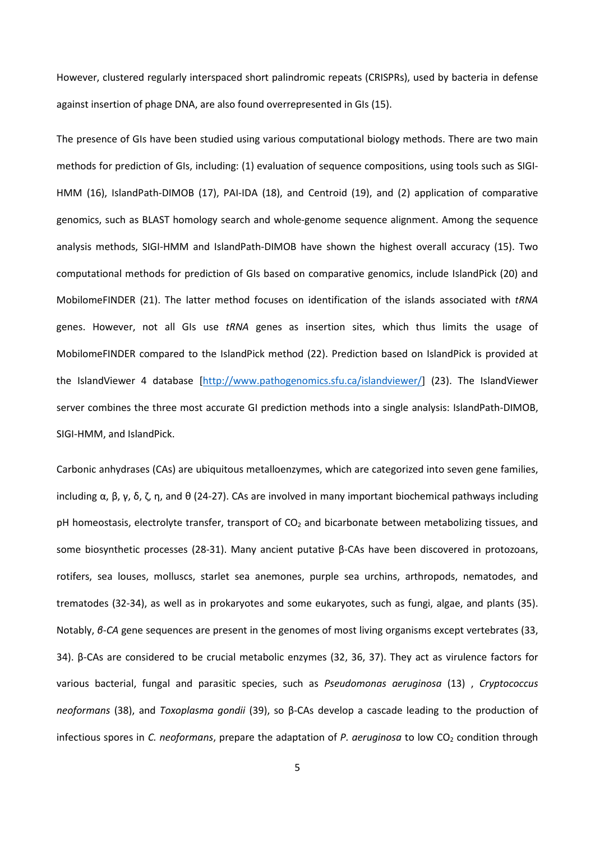However, clustered regularly interspaced short palindromic repeats (CRISPRs), used by bacteria in defense against insertion of phage DNA, are also found overrepresented in GIs [\(15\)](#page-13-7).

The presence of GIs have been studied using various computational biology methods. There are two main methods for prediction of GIs, including: (1) evaluation of sequence compositions, using tools such as SIGI-HMM [\(16\)](#page-13-8), IslandPath-DIMOB [\(17\)](#page-13-9), PAI-IDA [\(18\)](#page-13-10), and Centroid [\(19\)](#page-13-11), and (2) application of comparative genomics, such as BLAST homology search and whole-genome sequence alignment. Among the sequence analysis methods, SIGI-HMM and IslandPath-DIMOB have shown the highest overall accuracy [\(15\)](#page-13-7). Two computational methods for prediction of GIs based on comparative genomics, include IslandPick [\(20\)](#page-13-12) and MobilomeFINDER [\(21\)](#page-13-13). The latter method focuses on identification of the islands associated with *tRNA* genes. However, not all GIs use *tRNA* genes as insertion sites, which thus limits the usage of MobilomeFINDER compared to the IslandPick method [\(22\)](#page-13-14). Prediction based on IslandPick is provided at the IslandViewer 4 database [\[http://www.pathogenomics.sfu.ca/islandviewer/\]](http://www.pathogenomics.sfu.ca/islandviewer/) [\(23\)](#page-13-15). The IslandViewer server combines the three most accurate GI prediction methods into a single analysis: IslandPath-DIMOB, SIGI-HMM, and IslandPick.

Carbonic anhydrases (CAs) are ubiquitous metalloenzymes, which are categorized into seven gene families, including  $\alpha$ , β, γ, δ, ζ, η, and θ [\(24-27\)](#page-13-16). CAs are involved in many important biochemical pathways including pH homeostasis, electrolyte transfer, transport of CO<sub>2</sub> and bicarbonate between metabolizing tissues, and some biosynthetic processes [\(28-31\)](#page-14-0). Many ancient putative β-CAs have been discovered in protozoans, rotifers, sea louses, molluscs, starlet sea anemones, purple sea urchins, arthropods, nematodes, and trematodes [\(32-34\)](#page-14-1), as well as in prokaryotes and some eukaryotes, such as fungi, algae, and plants [\(35\)](#page-14-2). Notably, *β-CA* gene sequences are present in the genomes of most living organisms except vertebrates [\(33,](#page-14-3) [34\)](#page-14-4). β-CAs are considered to be crucial metabolic enzymes [\(32,](#page-14-1) [36,](#page-14-5) [37\)](#page-14-6). They act as virulence factors for various bacterial, fungal and parasitic species, such as *Pseudomonas aeruginosa* [\(13\)](#page-13-5) , *Cryptococcus neoformans* [\(38\)](#page-14-7), and *Toxoplasma gondii* [\(39\)](#page-14-8), so β-CAs develop a cascade leading to the production of infectious spores in *C. neoformans*, prepare the adaptation of *P. aeruginosa* to low CO<sub>2</sub> condition through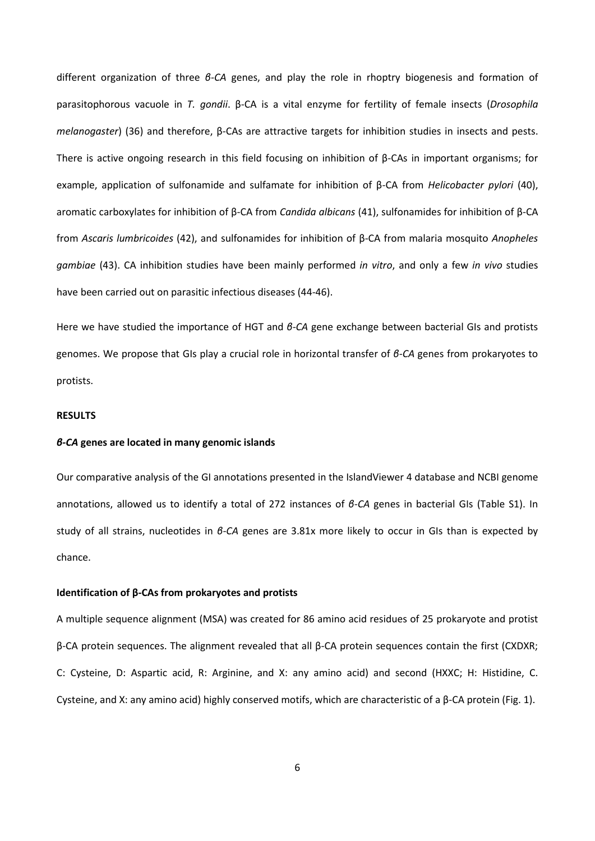different organization of three *β-CA* genes, and play the role in rhoptry biogenesis and formation of parasitophorous vacuole in *T. gondii*. β-CA is a vital enzyme for fertility of female insects (*Drosophila melanogaster*) [\(36\)](#page-14-5) and therefore, β-CAs are attractive targets for inhibition studies in insects and pests. There is active ongoing research in this field focusing on inhibition of β-CAs in important organisms; for example, application of sulfonamide and sulfamate for inhibition of β-CA from *Helicobacter pylori* [\(40\)](#page-14-9), aromatic carboxylates for inhibition of β-CA from *Candida albicans* [\(41\)](#page-14-10), sulfonamides for inhibition of β-CA from *Ascaris lumbricoides* [\(42\)](#page-14-11), and sulfonamides for inhibition of β-CA from malaria mosquito *Anopheles gambiae* [\(43\)](#page-14-12). CA inhibition studies have been mainly performed *in vitro*, and only a few *in vivo* studies have been carried out on parasitic infectious diseases [\(44-46\)](#page-14-13).

Here we have studied the importance of HGT and *β-CA* gene exchange between bacterial GIs and protists genomes. We propose that GIs play a crucial role in horizontal transfer of *β-CA* genes from prokaryotes to protists.

## **RESULTS**

# *β-CA* **genes are located in many genomic islands**

Our comparative analysis of the GI annotations presented in the IslandViewer 4 database and NCBI genome annotations, allowed us to identify a total of 272 instances of *β-CA* genes in bacterial GIs (Table S1). In study of all strains, nucleotides in *β-CA* genes are 3.81x more likely to occur in GIs than is expected by chance.

### **Identification of β-CAs from prokaryotes and protists**

A multiple sequence alignment (MSA) was created for 86 amino acid residues of 25 prokaryote and protist β-CA protein sequences. The alignment revealed that all β-CA protein sequences contain the first (CXDXR; C: Cysteine, D: Aspartic acid, R: Arginine, and X: any amino acid) and second (HXXC; H: Histidine, C. Cysteine, and X: any amino acid) highly conserved motifs, which are characteristic of a β-CA protein (Fig. 1).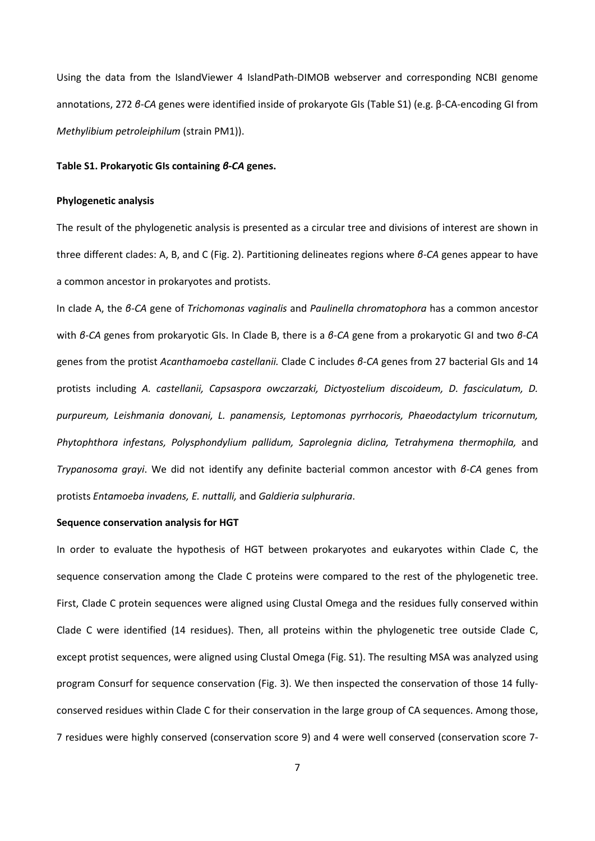Using the data from the IslandViewer 4 IslandPath-DIMOB webserver and corresponding NCBI genome annotations, 272 *β-CA* genes were identified inside of prokaryote GIs (Table S1) (e.g. β-CA-encoding GI from *Methylibium petroleiphilum* (strain PM1)).

## **Table S1. Prokaryotic GIs containing** *β-CA* **genes.**

#### **Phylogenetic analysis**

The result of the phylogenetic analysis is presented as a circular tree and divisions of interest are shown in three different clades: A, B, and C (Fig. 2). Partitioning delineates regions where *β-CA* genes appear to have a common ancestor in prokaryotes and protists.

In clade A, the *β-CA* gene of *Trichomonas vaginalis* and *Paulinella chromatophora* has a common ancestor with *β-CA* genes from prokaryotic GIs. In Clade B, there is a *β-CA* gene from a prokaryotic GI and two *β-CA* genes from the protist *Acanthamoeba castellanii.* Clade C includes *β-CA* genes from 27 bacterial GIs and 14 protists including *A. castellanii, Capsaspora owczarzaki, Dictyostelium discoideum, D. fasciculatum, D. purpureum, Leishmania donovani, L. panamensis, Leptomonas pyrrhocoris, Phaeodactylum tricornutum, Phytophthora infestans, Polysphondylium pallidum, Saprolegnia diclina, Tetrahymena thermophila,* and *Trypanosoma grayi*. We did not identify any definite bacterial common ancestor with *β-CA* genes from protists *Entamoeba invadens, E. nuttalli,* and *Galdieria sulphuraria*.

#### **Sequence conservation analysis for HGT**

In order to evaluate the hypothesis of HGT between prokaryotes and eukaryotes within Clade C, the sequence conservation among the Clade C proteins were compared to the rest of the phylogenetic tree. First, Clade C protein sequences were aligned using Clustal Omega and the residues fully conserved within Clade C were identified (14 residues). Then, all proteins within the phylogenetic tree outside Clade C, except protist sequences, were aligned using Clustal Omega (Fig. S1). The resulting MSA was analyzed using program Consurf for sequence conservation (Fig. 3). We then inspected the conservation of those 14 fullyconserved residues within Clade C for their conservation in the large group of CA sequences. Among those, 7 residues were highly conserved (conservation score 9) and 4 were well conserved (conservation score 7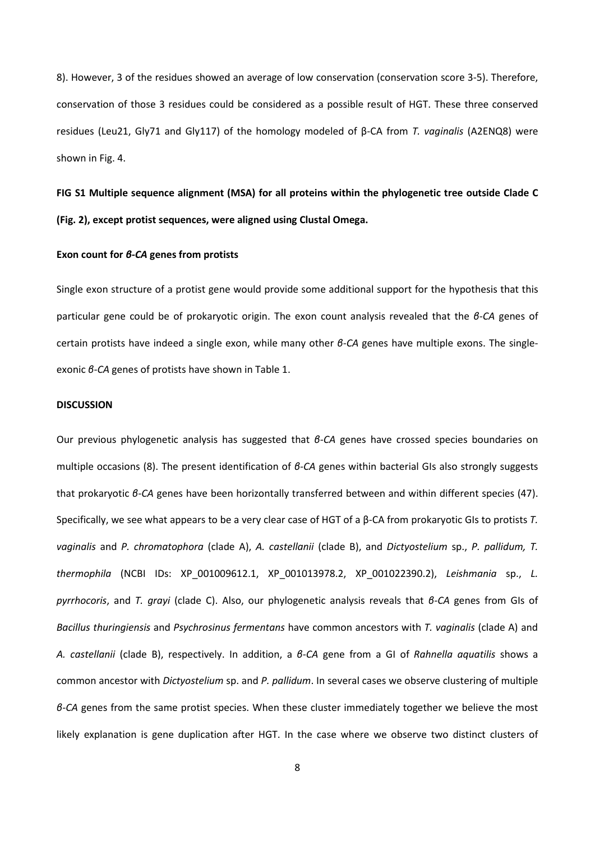8). However, 3 of the residues showed an average of low conservation (conservation score 3-5). Therefore, conservation of those 3 residues could be considered as a possible result of HGT. These three conserved residues (Leu21, Gly71 and Gly117) of the homology modeled of β-CA from *T. vaginalis* (A2ENQ8) were shown in Fig. 4.

**FIG S1 Multiple sequence alignment (MSA) for all proteins within the phylogenetic tree outside Clade C (Fig. 2), except protist sequences, were aligned using Clustal Omega.** 

#### **Exon count for** *β-CA* **genes from protists**

Single exon structure of a protist gene would provide some additional support for the hypothesis that this particular gene could be of prokaryotic origin. The exon count analysis revealed that the *β-CA* genes of certain protists have indeed a single exon, while many other *β-CA* genes have multiple exons. The singleexonic *β-CA* genes of protists have shown in Table 1.

#### **DISCUSSION**

Our previous phylogenetic analysis has suggested that *β-CA* genes have crossed species boundaries on multiple occasions [\(8\)](#page-13-0). The present identification of *β-CA* genes within bacterial GIs also strongly suggests that prokaryotic *β-CA* genes have been horizontally transferred between and within different species [\(47\)](#page-15-0). Specifically, we see what appears to be a very clear case of HGT of a β-CA from prokaryotic GIs to protists *T. vaginalis* and *P. chromatophora* (clade A), *A. castellanii* (clade B), and *Dictyostelium* sp., *P. pallidum, T. thermophila* (NCBI IDs: XP\_001009612.1, XP\_001013978.2, XP\_001022390.2), *Leishmania* sp., *L. pyrrhocoris*, and *T. grayi* (clade C). Also, our phylogenetic analysis reveals that *β-CA* genes from GIs of *Bacillus thuringiensis* and *Psychrosinus fermentans* have common ancestors with *T. vaginalis* (clade A) and *A. castellanii* (clade B), respectively. In addition, a *β-CA* gene from a GI of *Rahnella aquatilis* shows a common ancestor with *Dictyostelium* sp. and *P. pallidum*. In several cases we observe clustering of multiple *β-CA* genes from the same protist species. When these cluster immediately together we believe the most likely explanation is gene duplication after HGT. In the case where we observe two distinct clusters of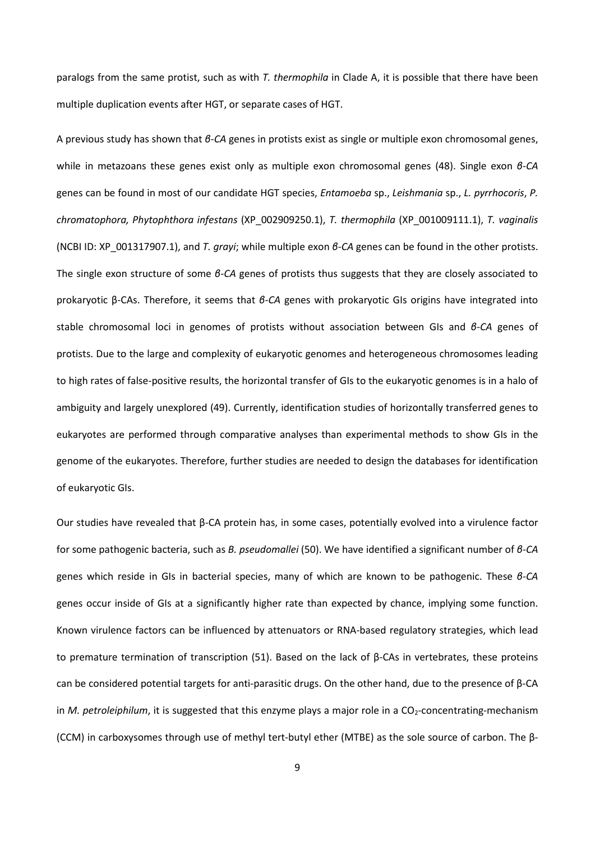paralogs from the same protist, such as with *T. thermophila* in Clade A, it is possible that there have been multiple duplication events after HGT, or separate cases of HGT.

A previous study has shown that *β-CA* genes in protists exist as single or multiple exon chromosomal genes, while in metazoans these genes exist only as multiple exon chromosomal genes [\(48\)](#page-15-1). Single exon *β-CA* genes can be found in most of our candidate HGT species, *Entamoeba* sp., *Leishmania* sp., *L. pyrrhocoris*, *P. chromatophora, Phytophthora infestans* (XP\_002909250.1), *T. thermophila* (XP\_001009111.1), *T. vaginalis* (NCBI ID: XP\_001317907.1), and *T. grayi*; while multiple exon *β-CA* genes can be found in the other protists. The single exon structure of some *β-CA* genes of protists thus suggests that they are closely associated to prokaryotic β-CAs. Therefore, it seems that *β-CA* genes with prokaryotic GIs origins have integrated into stable chromosomal loci in genomes of protists without association between GIs and *β-CA* genes of protists. Due to the large and complexity of eukaryotic genomes and heterogeneous chromosomes leading to high rates of false-positive results, the horizontal transfer of GIs to the eukaryotic genomes is in a halo of ambiguity and largely unexplored [\(49\)](#page-15-2). Currently, identification studies of horizontally transferred genes to eukaryotes are performed through comparative analyses than experimental methods to show GIs in the genome of the eukaryotes. Therefore, further studies are needed to design the databases for identification of eukaryotic GIs.

Our studies have revealed that β-CA protein has, in some cases, potentially evolved into a virulence factor for some pathogenic bacteria, such as *B. pseudomallei* [\(50\)](#page-15-3). We have identified a significant number of *β-CA* genes which reside in GIs in bacterial species, many of which are known to be pathogenic. These *β-CA* genes occur inside of GIs at a significantly higher rate than expected by chance, implying some function. Known virulence factors can be influenced by attenuators or RNA-based regulatory strategies, which lead to premature termination of transcription [\(51\)](#page-15-4). Based on the lack of β-CAs in vertebrates, these proteins can be considered potential targets for anti-parasitic drugs. On the other hand, due to the presence of β-CA in *M. petroleiphilum*, it is suggested that this enzyme plays a major role in a CO<sub>2</sub>-concentrating-mechanism (CCM) in carboxysomes through use of methyl tert-butyl ether (MTBE) as the sole source of carbon. The β-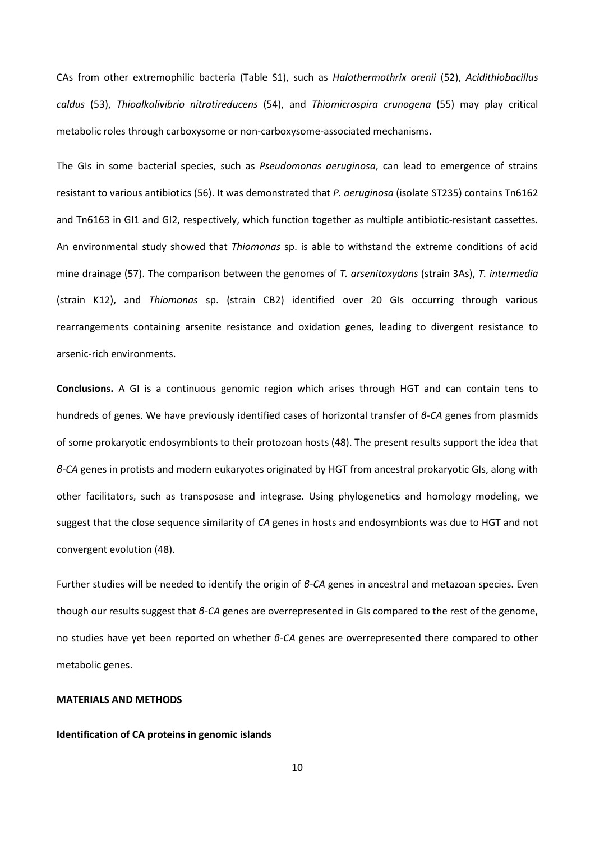CAs from other extremophilic bacteria (Table S1), such as *Halothermothrix orenii* [\(52\)](#page-15-5), *Acidithiobacillus caldus* [\(53\)](#page-15-6), *Thioalkalivibrio nitratireducens* [\(54\)](#page-15-7), and *Thiomicrospira crunogena* [\(55\)](#page-15-8) may play critical metabolic roles through carboxysome or non-carboxysome-associated mechanisms.

The GIs in some bacterial species, such as *Pseudomonas aeruginosa*, can lead to emergence of strains resistant to various antibiotics [\(56\)](#page-15-9). It was demonstrated that *P. aeruginosa* (isolate ST235) contains Tn6162 and Tn6163 in GI1 and GI2, respectively, which function together as multiple antibiotic-resistant cassettes. An environmental study showed that *Thiomonas* sp. is able to withstand the extreme conditions of acid mine drainage [\(57\)](#page-15-10). The comparison between the genomes of *T. arsenitoxydans* (strain 3As), *T. intermedia* (strain K12), and *Thiomonas* sp. (strain CB2) identified over 20 GIs occurring through various rearrangements containing arsenite resistance and oxidation genes, leading to divergent resistance to arsenic-rich environments.

**Conclusions.** A GI is a continuous genomic region which arises through HGT and can contain tens to hundreds of genes. We have previously identified cases of horizontal transfer of *β-CA* genes from plasmids of some prokaryotic endosymbionts to their protozoan hosts [\(48\)](#page-15-1). The present results support the idea that *β-CA* genes in protists and modern eukaryotes originated by HGT from ancestral prokaryotic GIs, along with other facilitators, such as transposase and integrase. Using phylogenetics and homology modeling, we suggest that the close sequence similarity of *CA* genes in hosts and endosymbionts was due to HGT and not convergent evolution [\(48\)](#page-15-1).

Further studies will be needed to identify the origin of *β-CA* genes in ancestral and metazoan species. Even though our results suggest that *β-CA* genes are overrepresented in GIs compared to the rest of the genome, no studies have yet been reported on whether *β-CA* genes are overrepresented there compared to other metabolic genes.

# **MATERIALS AND METHODS**

#### **Identification of CA proteins in genomic islands**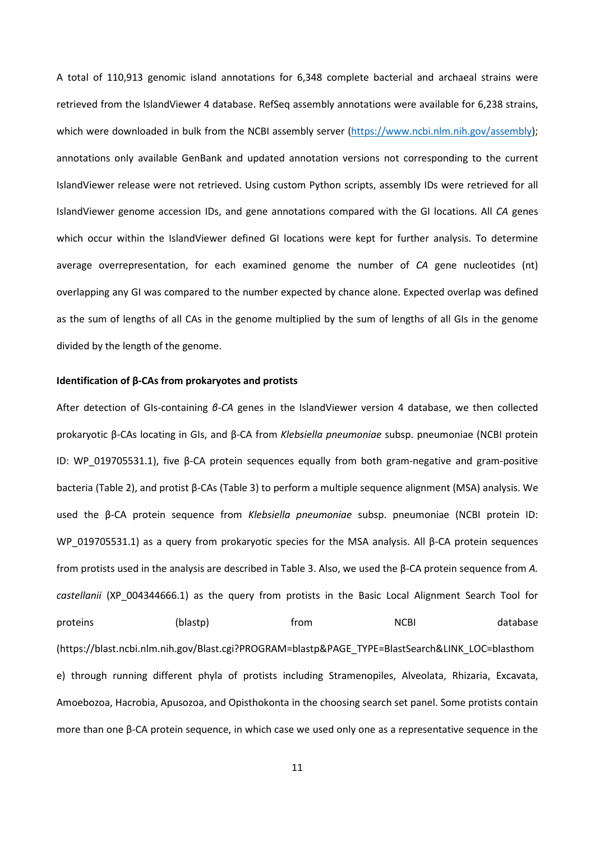A total of 110,913 genomic island annotations for 6,348 complete bacterial and archaeal strains were retrieved from the IslandViewer 4 database. RefSeq assembly annotations were available for 6,238 strains, which were downloaded in bulk from the NCBI assembly server [\(https://www.ncbi.nlm.nih.gov/assembly\)](https://www.ncbi.nlm.nih.gov/assembly); annotations only available GenBank and updated annotation versions not corresponding to the current IslandViewer release were not retrieved. Using custom Python scripts, assembly IDs were retrieved for all IslandViewer genome accession IDs, and gene annotations compared with the GI locations. All *CA* genes which occur within the IslandViewer defined GI locations were kept for further analysis. To determine average overrepresentation, for each examined genome the number of *CA* gene nucleotides (nt) overlapping any GI was compared to the number expected by chance alone. Expected overlap was defined as the sum of lengths of all CAs in the genome multiplied by the sum of lengths of all GIs in the genome divided by the length of the genome.

#### **Identification of β-CAs from prokaryotes and protists**

After detection of GIs-containing *β-CA* genes in the IslandViewer version 4 database, we then collected prokaryotic β-CAs locating in GIs, and β-CA from *Klebsiella pneumoniae* subsp. pneumoniae (NCBI protein ID: WP\_019705531.1), five β-CA protein sequences equally from both gram-negative and gram-positive bacteria (Table 2), and protist β-CAs (Table 3) to perform a multiple sequence alignment (MSA) analysis. We used the β-CA protein sequence from *Klebsiella pneumoniae* subsp. pneumoniae (NCBI protein ID: WP\_019705531.1) as a query from prokaryotic species for the MSA analysis. All β-CA protein sequences from protists used in the analysis are described in Table 3. Also, we used the β-CA protein sequence from *A. castellanii* (XP\_004344666.1) as the query from protists in the Basic Local Alignment Search Tool for proteins (blastp) from RCBI database (https://blast.ncbi.nlm.nih.gov/Blast.cgi?PROGRAM=blastp&PAGE\_TYPE=BlastSearch&LINK\_LOC=blasthom e) through running different phyla of protists including Stramenopiles, Alveolata, Rhizaria, Excavata, Amoebozoa, Hacrobia, Apusozoa, and Opisthokonta in the choosing search set panel. Some protists contain more than one β-CA protein sequence, in which case we used only one as a representative sequence in the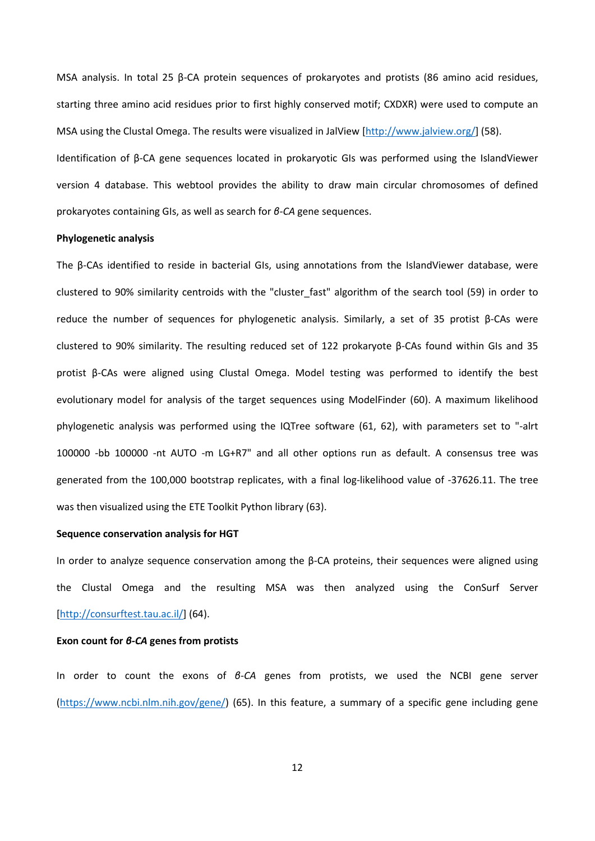MSA analysis. In total 25 β-CA protein sequences of prokaryotes and protists (86 amino acid residues, starting three amino acid residues prior to first highly conserved motif; CXDXR) were used to compute an MSA using the Clustal Omega. The results were visualized in JalView [\[http://www.jalview.org/\]](http://www.jalview.org/) [\(58\)](#page-15-11).

Identification of β-CA gene sequences located in prokaryotic GIs was performed using the IslandViewer version 4 database. This webtool provides the ability to draw main circular chromosomes of defined prokaryotes containing GIs, as well as search for *β-CA* gene sequences.

#### **Phylogenetic analysis**

The β-CAs identified to reside in bacterial GIs, using annotations from the IslandViewer database, were clustered to 90% similarity centroids with the "cluster\_fast" algorithm of the search tool [\(59\)](#page-15-12) in order to reduce the number of sequences for phylogenetic analysis. Similarly, a set of 35 protist β-CAs were clustered to 90% similarity. The resulting reduced set of 122 prokaryote β-CAs found within GIs and 35 protist β-CAs were aligned using Clustal Omega. Model testing was performed to identify the best evolutionary model for analysis of the target sequences using ModelFinder [\(60\)](#page-15-13). A maximum likelihood phylogenetic analysis was performed using the IQTree software [\(61,](#page-15-14) [62\)](#page-15-15), with parameters set to "-alrt 100000 -bb 100000 -nt AUTO -m LG+R7" and all other options run as default. A consensus tree was generated from the 100,000 bootstrap replicates, with a final log-likelihood value of -37626.11. The tree was then visualized using the ETE Toolkit Python library [\(63\)](#page-15-16).

### **Sequence conservation analysis for HGT**

In order to analyze sequence conservation among the  $\beta$ -CA proteins, their sequences were aligned using the Clustal Omega and the resulting MSA was then analyzed using the ConSurf Server [\[http://consurftest.tau.ac.il/\]](http://consurftest.tau.ac.il/) [\(64\)](#page-15-17).

#### **Exon count for** *β-CA* **genes from protists**

In order to count the exons of *β-CA* genes from protists, we used the NCBI gene server [\(https://www.ncbi.nlm.nih.gov/gene/\)](https://www.ncbi.nlm.nih.gov/gene/) [\(65\)](#page-16-0). In this feature, a summary of a specific gene including gene

12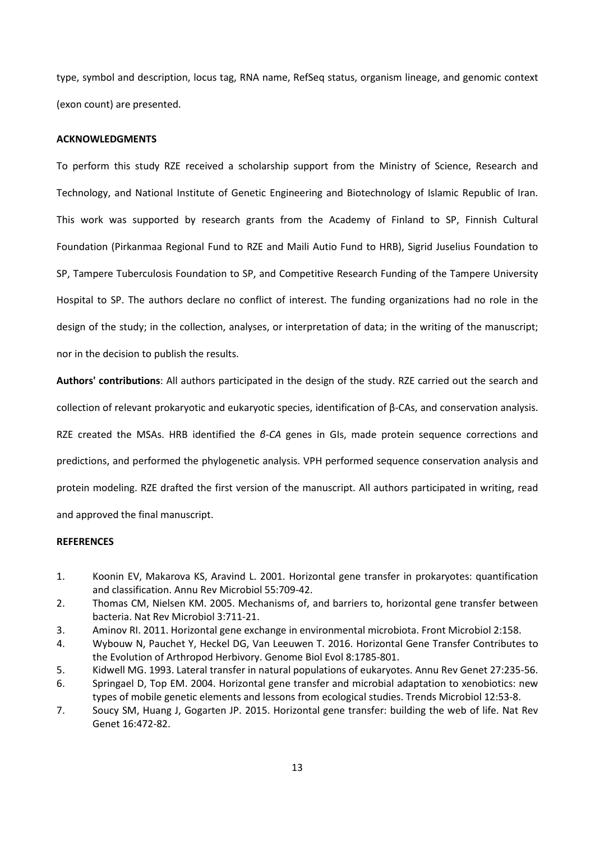type, symbol and description, locus tag, RNA name, RefSeq status, organism lineage, and genomic context (exon count) are presented.

#### **ACKNOWLEDGMENTS**

To perform this study RZE received a scholarship support from the Ministry of Science, Research and Technology, and National Institute of Genetic Engineering and Biotechnology of Islamic Republic of Iran. This work was supported by research grants from the Academy of Finland to SP, Finnish Cultural Foundation (Pirkanmaa Regional Fund to RZE and Maili Autio Fund to HRB), Sigrid Juselius Foundation to SP, Tampere Tuberculosis Foundation to SP, and Competitive Research Funding of the Tampere University Hospital to SP. The authors declare no conflict of interest. The funding organizations had no role in the design of the study; in the collection, analyses, or interpretation of data; in the writing of the manuscript; nor in the decision to publish the results.

**Authors' contributions**: All authors participated in the design of the study. RZE carried out the search and collection of relevant prokaryotic and eukaryotic species, identification of β-CAs, and conservation analysis. RZE created the MSAs. HRB identified the *β-CA* genes in GIs, made protein sequence corrections and predictions, and performed the phylogenetic analysis. VPH performed sequence conservation analysis and protein modeling. RZE drafted the first version of the manuscript. All authors participated in writing, read and approved the final manuscript.

### **REFERENCES**

- <span id="page-12-0"></span>1. Koonin EV, Makarova KS, Aravind L. 2001. Horizontal gene transfer in prokaryotes: quantification and classification. Annu Rev Microbiol 55:709-42.
- 2. Thomas CM, Nielsen KM. 2005. Mechanisms of, and barriers to, horizontal gene transfer between bacteria. Nat Rev Microbiol 3:711-21.
- 3. Aminov RI. 2011. Horizontal gene exchange in environmental microbiota. Front Microbiol 2:158.
- 4. Wybouw N, Pauchet Y, Heckel DG, Van Leeuwen T. 2016. Horizontal Gene Transfer Contributes to the Evolution of Arthropod Herbivory. Genome Biol Evol 8:1785-801.
- 5. Kidwell MG. 1993. Lateral transfer in natural populations of eukaryotes. Annu Rev Genet 27:235-56.
- 6. Springael D, Top EM. 2004. Horizontal gene transfer and microbial adaptation to xenobiotics: new types of mobile genetic elements and lessons from ecological studies. Trends Microbiol 12:53-8.
- <span id="page-12-1"></span>7. Soucy SM, Huang J, Gogarten JP. 2015. Horizontal gene transfer: building the web of life. Nat Rev Genet 16:472-82.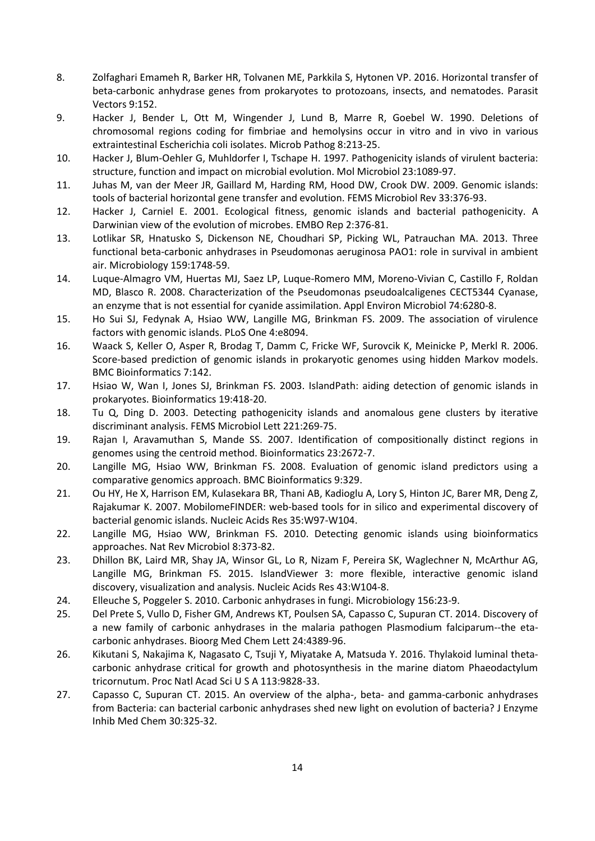- <span id="page-13-0"></span>8. Zolfaghari Emameh R, Barker HR, Tolvanen ME, Parkkila S, Hytonen VP. 2016. Horizontal transfer of beta-carbonic anhydrase genes from prokaryotes to protozoans, insects, and nematodes. Parasit Vectors 9:152.
- <span id="page-13-1"></span>9. Hacker J, Bender L, Ott M, Wingender J, Lund B, Marre R, Goebel W. 1990. Deletions of chromosomal regions coding for fimbriae and hemolysins occur in vitro and in vivo in various extraintestinal Escherichia coli isolates. Microb Pathog 8:213-25.
- <span id="page-13-2"></span>10. Hacker J, Blum-Oehler G, Muhldorfer I, Tschape H. 1997. Pathogenicity islands of virulent bacteria: structure, function and impact on microbial evolution. Mol Microbiol 23:1089-97.
- <span id="page-13-3"></span>11. Juhas M, van der Meer JR, Gaillard M, Harding RM, Hood DW, Crook DW. 2009. Genomic islands: tools of bacterial horizontal gene transfer and evolution. FEMS Microbiol Rev 33:376-93.
- <span id="page-13-4"></span>12. Hacker J, Carniel E. 2001. Ecological fitness, genomic islands and bacterial pathogenicity. A Darwinian view of the evolution of microbes. EMBO Rep 2:376-81.
- <span id="page-13-5"></span>13. Lotlikar SR, Hnatusko S, Dickenson NE, Choudhari SP, Picking WL, Patrauchan MA. 2013. Three functional beta-carbonic anhydrases in Pseudomonas aeruginosa PAO1: role in survival in ambient air. Microbiology 159:1748-59.
- <span id="page-13-6"></span>14. Luque-Almagro VM, Huertas MJ, Saez LP, Luque-Romero MM, Moreno-Vivian C, Castillo F, Roldan MD, Blasco R. 2008. Characterization of the Pseudomonas pseudoalcaligenes CECT5344 Cyanase, an enzyme that is not essential for cyanide assimilation. Appl Environ Microbiol 74:6280-8.
- <span id="page-13-7"></span>15. Ho Sui SJ, Fedynak A, Hsiao WW, Langille MG, Brinkman FS. 2009. The association of virulence factors with genomic islands. PLoS One 4:e8094.
- <span id="page-13-8"></span>16. Waack S, Keller O, Asper R, Brodag T, Damm C, Fricke WF, Surovcik K, Meinicke P, Merkl R. 2006. Score-based prediction of genomic islands in prokaryotic genomes using hidden Markov models. BMC Bioinformatics 7:142.
- <span id="page-13-9"></span>17. Hsiao W, Wan I, Jones SJ, Brinkman FS. 2003. IslandPath: aiding detection of genomic islands in prokaryotes. Bioinformatics 19:418-20.
- <span id="page-13-10"></span>18. Tu Q, Ding D. 2003. Detecting pathogenicity islands and anomalous gene clusters by iterative discriminant analysis. FEMS Microbiol Lett 221:269-75.
- <span id="page-13-11"></span>19. Rajan I, Aravamuthan S, Mande SS. 2007. Identification of compositionally distinct regions in genomes using the centroid method. Bioinformatics 23:2672-7.
- <span id="page-13-12"></span>20. Langille MG, Hsiao WW, Brinkman FS. 2008. Evaluation of genomic island predictors using a comparative genomics approach. BMC Bioinformatics 9:329.
- <span id="page-13-13"></span>21. Ou HY, He X, Harrison EM, Kulasekara BR, Thani AB, Kadioglu A, Lory S, Hinton JC, Barer MR, Deng Z, Rajakumar K. 2007. MobilomeFINDER: web-based tools for in silico and experimental discovery of bacterial genomic islands. Nucleic Acids Res 35:W97-W104.
- <span id="page-13-14"></span>22. Langille MG, Hsiao WW, Brinkman FS. 2010. Detecting genomic islands using bioinformatics approaches. Nat Rev Microbiol 8:373-82.
- <span id="page-13-15"></span>23. Dhillon BK, Laird MR, Shay JA, Winsor GL, Lo R, Nizam F, Pereira SK, Waglechner N, McArthur AG, Langille MG, Brinkman FS. 2015. IslandViewer 3: more flexible, interactive genomic island discovery, visualization and analysis. Nucleic Acids Res 43:W104-8.
- <span id="page-13-16"></span>24. Elleuche S, Poggeler S. 2010. Carbonic anhydrases in fungi. Microbiology 156:23-9.
- 25. Del Prete S, Vullo D, Fisher GM, Andrews KT, Poulsen SA, Capasso C, Supuran CT. 2014. Discovery of a new family of carbonic anhydrases in the malaria pathogen Plasmodium falciparum--the etacarbonic anhydrases. Bioorg Med Chem Lett 24:4389-96.
- 26. Kikutani S, Nakajima K, Nagasato C, Tsuji Y, Miyatake A, Matsuda Y. 2016. Thylakoid luminal thetacarbonic anhydrase critical for growth and photosynthesis in the marine diatom Phaeodactylum tricornutum. Proc Natl Acad Sci U S A 113:9828-33.
- 27. Capasso C, Supuran CT. 2015. An overview of the alpha-, beta- and gamma-carbonic anhydrases from Bacteria: can bacterial carbonic anhydrases shed new light on evolution of bacteria? J Enzyme Inhib Med Chem 30:325-32.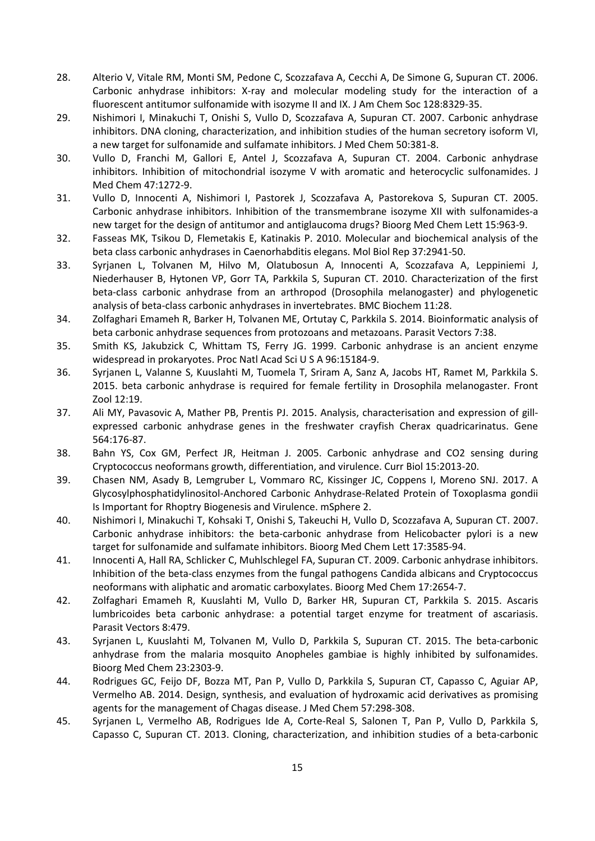- <span id="page-14-0"></span>28. Alterio V, Vitale RM, Monti SM, Pedone C, Scozzafava A, Cecchi A, De Simone G, Supuran CT. 2006. Carbonic anhydrase inhibitors: X-ray and molecular modeling study for the interaction of a fluorescent antitumor sulfonamide with isozyme II and IX. J Am Chem Soc 128:8329-35.
- 29. Nishimori I, Minakuchi T, Onishi S, Vullo D, Scozzafava A, Supuran CT. 2007. Carbonic anhydrase inhibitors. DNA cloning, characterization, and inhibition studies of the human secretory isoform VI, a new target for sulfonamide and sulfamate inhibitors. J Med Chem 50:381-8.
- 30. Vullo D, Franchi M, Gallori E, Antel J, Scozzafava A, Supuran CT. 2004. Carbonic anhydrase inhibitors. Inhibition of mitochondrial isozyme V with aromatic and heterocyclic sulfonamides. J Med Chem 47:1272-9.
- 31. Vullo D, Innocenti A, Nishimori I, Pastorek J, Scozzafava A, Pastorekova S, Supuran CT. 2005. Carbonic anhydrase inhibitors. Inhibition of the transmembrane isozyme XII with sulfonamides-a new target for the design of antitumor and antiglaucoma drugs? Bioorg Med Chem Lett 15:963-9.
- <span id="page-14-1"></span>32. Fasseas MK, Tsikou D, Flemetakis E, Katinakis P. 2010. Molecular and biochemical analysis of the beta class carbonic anhydrases in Caenorhabditis elegans. Mol Biol Rep 37:2941-50.
- <span id="page-14-3"></span>33. Syrjanen L, Tolvanen M, Hilvo M, Olatubosun A, Innocenti A, Scozzafava A, Leppiniemi J, Niederhauser B, Hytonen VP, Gorr TA, Parkkila S, Supuran CT. 2010. Characterization of the first beta-class carbonic anhydrase from an arthropod (Drosophila melanogaster) and phylogenetic analysis of beta-class carbonic anhydrases in invertebrates. BMC Biochem 11:28.
- <span id="page-14-4"></span>34. Zolfaghari Emameh R, Barker H, Tolvanen ME, Ortutay C, Parkkila S. 2014. Bioinformatic analysis of beta carbonic anhydrase sequences from protozoans and metazoans. Parasit Vectors 7:38.
- <span id="page-14-2"></span>35. Smith KS, Jakubzick C, Whittam TS, Ferry JG. 1999. Carbonic anhydrase is an ancient enzyme widespread in prokaryotes. Proc Natl Acad Sci U S A 96:15184-9.
- <span id="page-14-5"></span>36. Syrjanen L, Valanne S, Kuuslahti M, Tuomela T, Sriram A, Sanz A, Jacobs HT, Ramet M, Parkkila S. 2015. beta carbonic anhydrase is required for female fertility in Drosophila melanogaster. Front Zool 12:19.
- <span id="page-14-6"></span>37. Ali MY, Pavasovic A, Mather PB, Prentis PJ. 2015. Analysis, characterisation and expression of gillexpressed carbonic anhydrase genes in the freshwater crayfish Cherax quadricarinatus. Gene 564:176-87.
- <span id="page-14-7"></span>38. Bahn YS, Cox GM, Perfect JR, Heitman J. 2005. Carbonic anhydrase and CO2 sensing during Cryptococcus neoformans growth, differentiation, and virulence. Curr Biol 15:2013-20.
- <span id="page-14-8"></span>39. Chasen NM, Asady B, Lemgruber L, Vommaro RC, Kissinger JC, Coppens I, Moreno SNJ. 2017. A Glycosylphosphatidylinositol-Anchored Carbonic Anhydrase-Related Protein of Toxoplasma gondii Is Important for Rhoptry Biogenesis and Virulence. mSphere 2.
- <span id="page-14-9"></span>40. Nishimori I, Minakuchi T, Kohsaki T, Onishi S, Takeuchi H, Vullo D, Scozzafava A, Supuran CT. 2007. Carbonic anhydrase inhibitors: the beta-carbonic anhydrase from Helicobacter pylori is a new target for sulfonamide and sulfamate inhibitors. Bioorg Med Chem Lett 17:3585-94.
- <span id="page-14-10"></span>41. Innocenti A, Hall RA, Schlicker C, Muhlschlegel FA, Supuran CT. 2009. Carbonic anhydrase inhibitors. Inhibition of the beta-class enzymes from the fungal pathogens Candida albicans and Cryptococcus neoformans with aliphatic and aromatic carboxylates. Bioorg Med Chem 17:2654-7.
- <span id="page-14-11"></span>42. Zolfaghari Emameh R, Kuuslahti M, Vullo D, Barker HR, Supuran CT, Parkkila S. 2015. Ascaris lumbricoides beta carbonic anhydrase: a potential target enzyme for treatment of ascariasis. Parasit Vectors 8:479.
- <span id="page-14-12"></span>43. Syrjanen L, Kuuslahti M, Tolvanen M, Vullo D, Parkkila S, Supuran CT. 2015. The beta-carbonic anhydrase from the malaria mosquito Anopheles gambiae is highly inhibited by sulfonamides. Bioorg Med Chem 23:2303-9.
- <span id="page-14-13"></span>44. Rodrigues GC, Feijo DF, Bozza MT, Pan P, Vullo D, Parkkila S, Supuran CT, Capasso C, Aguiar AP, Vermelho AB. 2014. Design, synthesis, and evaluation of hydroxamic acid derivatives as promising agents for the management of Chagas disease. J Med Chem 57:298-308.
- 45. Syrjanen L, Vermelho AB, Rodrigues Ide A, Corte-Real S, Salonen T, Pan P, Vullo D, Parkkila S, Capasso C, Supuran CT. 2013. Cloning, characterization, and inhibition studies of a beta-carbonic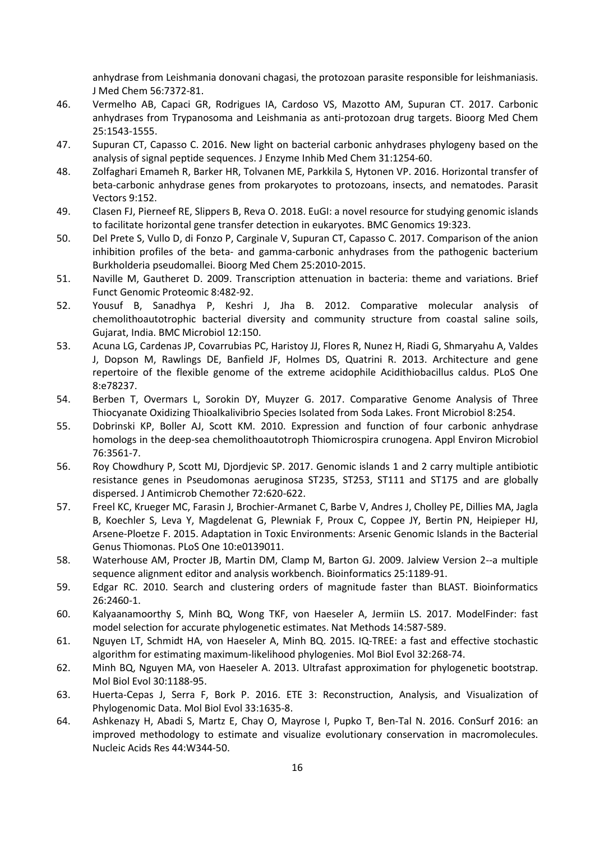anhydrase from Leishmania donovani chagasi, the protozoan parasite responsible for leishmaniasis. J Med Chem 56:7372-81.

- 46. Vermelho AB, Capaci GR, Rodrigues IA, Cardoso VS, Mazotto AM, Supuran CT. 2017. Carbonic anhydrases from Trypanosoma and Leishmania as anti-protozoan drug targets. Bioorg Med Chem 25:1543-1555.
- <span id="page-15-0"></span>47. Supuran CT, Capasso C. 2016. New light on bacterial carbonic anhydrases phylogeny based on the analysis of signal peptide sequences. J Enzyme Inhib Med Chem 31:1254-60.
- <span id="page-15-1"></span>48. Zolfaghari Emameh R, Barker HR, Tolvanen ME, Parkkila S, Hytonen VP. 2016. Horizontal transfer of beta-carbonic anhydrase genes from prokaryotes to protozoans, insects, and nematodes. Parasit Vectors 9:152.
- <span id="page-15-2"></span>49. Clasen FJ, Pierneef RE, Slippers B, Reva O. 2018. EuGI: a novel resource for studying genomic islands to facilitate horizontal gene transfer detection in eukaryotes. BMC Genomics 19:323.
- <span id="page-15-3"></span>50. Del Prete S, Vullo D, di Fonzo P, Carginale V, Supuran CT, Capasso C. 2017. Comparison of the anion inhibition profiles of the beta- and gamma-carbonic anhydrases from the pathogenic bacterium Burkholderia pseudomallei. Bioorg Med Chem 25:2010-2015.
- <span id="page-15-4"></span>51. Naville M, Gautheret D. 2009. Transcription attenuation in bacteria: theme and variations. Brief Funct Genomic Proteomic 8:482-92.
- <span id="page-15-5"></span>52. Yousuf B, Sanadhya P, Keshri J, Jha B. 2012. Comparative molecular analysis of chemolithoautotrophic bacterial diversity and community structure from coastal saline soils, Gujarat, India. BMC Microbiol 12:150.
- <span id="page-15-6"></span>53. Acuna LG, Cardenas JP, Covarrubias PC, Haristoy JJ, Flores R, Nunez H, Riadi G, Shmaryahu A, Valdes J, Dopson M, Rawlings DE, Banfield JF, Holmes DS, Quatrini R. 2013. Architecture and gene repertoire of the flexible genome of the extreme acidophile Acidithiobacillus caldus. PLoS One 8:e78237.
- <span id="page-15-7"></span>54. Berben T, Overmars L, Sorokin DY, Muyzer G. 2017. Comparative Genome Analysis of Three Thiocyanate Oxidizing Thioalkalivibrio Species Isolated from Soda Lakes. Front Microbiol 8:254.
- <span id="page-15-8"></span>55. Dobrinski KP, Boller AJ, Scott KM. 2010. Expression and function of four carbonic anhydrase homologs in the deep-sea chemolithoautotroph Thiomicrospira crunogena. Appl Environ Microbiol 76:3561-7.
- <span id="page-15-9"></span>56. Roy Chowdhury P, Scott MJ, Djordjevic SP. 2017. Genomic islands 1 and 2 carry multiple antibiotic resistance genes in Pseudomonas aeruginosa ST235, ST253, ST111 and ST175 and are globally dispersed. J Antimicrob Chemother 72:620-622.
- <span id="page-15-10"></span>57. Freel KC, Krueger MC, Farasin J, Brochier-Armanet C, Barbe V, Andres J, Cholley PE, Dillies MA, Jagla B, Koechler S, Leva Y, Magdelenat G, Plewniak F, Proux C, Coppee JY, Bertin PN, Heipieper HJ, Arsene-Ploetze F. 2015. Adaptation in Toxic Environments: Arsenic Genomic Islands in the Bacterial Genus Thiomonas. PLoS One 10:e0139011.
- <span id="page-15-11"></span>58. Waterhouse AM, Procter JB, Martin DM, Clamp M, Barton GJ. 2009. Jalview Version 2--a multiple sequence alignment editor and analysis workbench. Bioinformatics 25:1189-91.
- <span id="page-15-12"></span>59. Edgar RC. 2010. Search and clustering orders of magnitude faster than BLAST. Bioinformatics 26:2460-1.
- <span id="page-15-13"></span>60. Kalyaanamoorthy S, Minh BQ, Wong TKF, von Haeseler A, Jermiin LS. 2017. ModelFinder: fast model selection for accurate phylogenetic estimates. Nat Methods 14:587-589.
- <span id="page-15-14"></span>61. Nguyen LT, Schmidt HA, von Haeseler A, Minh BQ. 2015. IQ-TREE: a fast and effective stochastic algorithm for estimating maximum-likelihood phylogenies. Mol Biol Evol 32:268-74.
- <span id="page-15-15"></span>62. Minh BQ, Nguyen MA, von Haeseler A. 2013. Ultrafast approximation for phylogenetic bootstrap. Mol Biol Evol 30:1188-95.
- <span id="page-15-16"></span>63. Huerta-Cepas J, Serra F, Bork P. 2016. ETE 3: Reconstruction, Analysis, and Visualization of Phylogenomic Data. Mol Biol Evol 33:1635-8.
- <span id="page-15-17"></span>64. Ashkenazy H, Abadi S, Martz E, Chay O, Mayrose I, Pupko T, Ben-Tal N. 2016. ConSurf 2016: an improved methodology to estimate and visualize evolutionary conservation in macromolecules. Nucleic Acids Res 44:W344-50.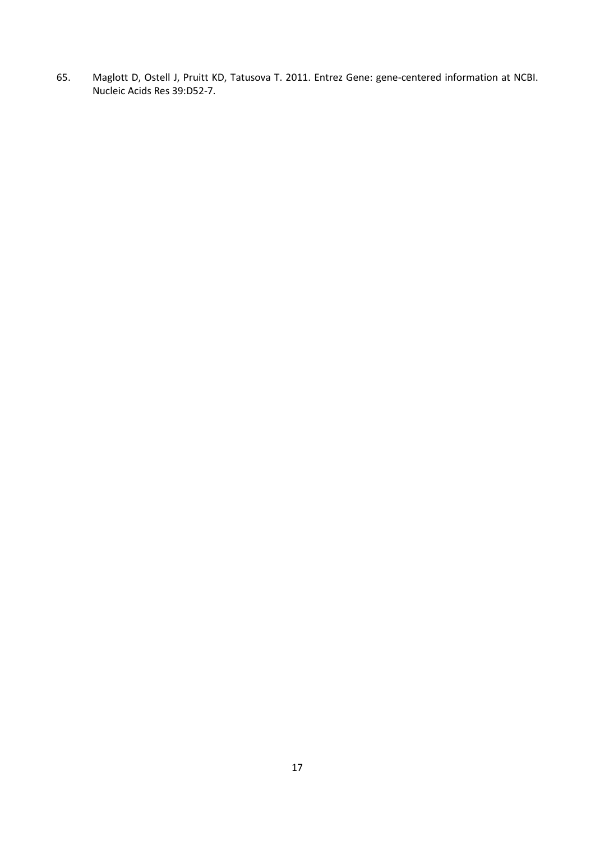<span id="page-16-0"></span>65. Maglott D, Ostell J, Pruitt KD, Tatusova T. 2011. Entrez Gene: gene-centered information at NCBI. Nucleic Acids Res 39:D52-7.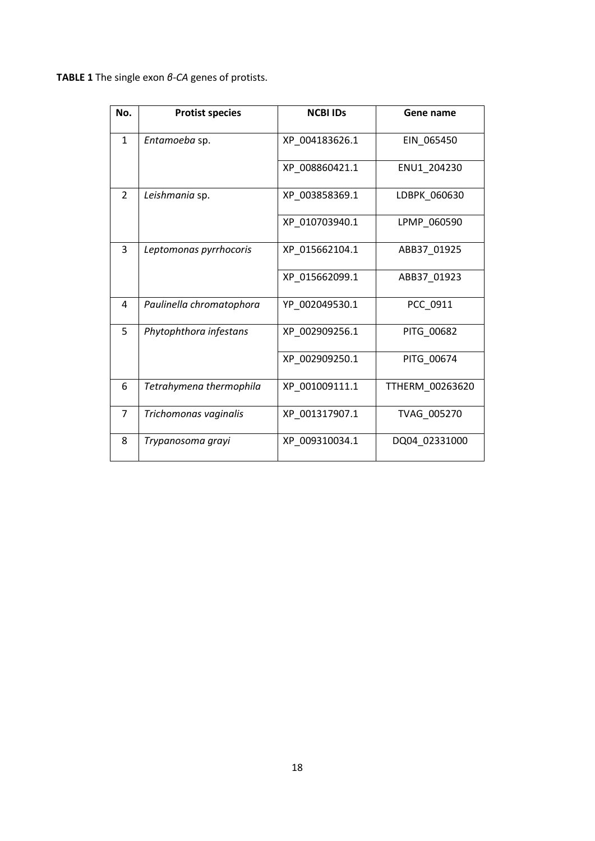**TABLE 1** The single exon *β-CA* genes of protists.

| No.            | <b>Protist species</b>   | <b>NCBI IDs</b> | Gene name       |
|----------------|--------------------------|-----------------|-----------------|
| $\mathbf{1}$   | Entamoeba sp.            | XP 004183626.1  | EIN 065450      |
|                |                          | XP 008860421.1  | ENU1 204230     |
| $\overline{2}$ | Leishmania sp.           | XP_003858369.1  | LDBPK 060630    |
|                |                          | XP_010703940.1  | LPMP 060590     |
| 3              | Leptomonas pyrrhocoris   | XP_015662104.1  | ABB37_01925     |
|                |                          | XP 015662099.1  | ABB37 01923     |
| 4              | Paulinella chromatophora | YP 002049530.1  | PCC 0911        |
| 5              | Phytophthora infestans   | XP_002909256.1  | PITG_00682      |
|                |                          | XP_002909250.1  | PITG_00674      |
| 6              | Tetrahymena thermophila  | XP_001009111.1  | TTHERM 00263620 |
| $\overline{7}$ | Trichomonas vaginalis    | XP_001317907.1  | TVAG 005270     |
| 8              | Trypanosoma grayi        | XP_009310034.1  | DQ04_02331000   |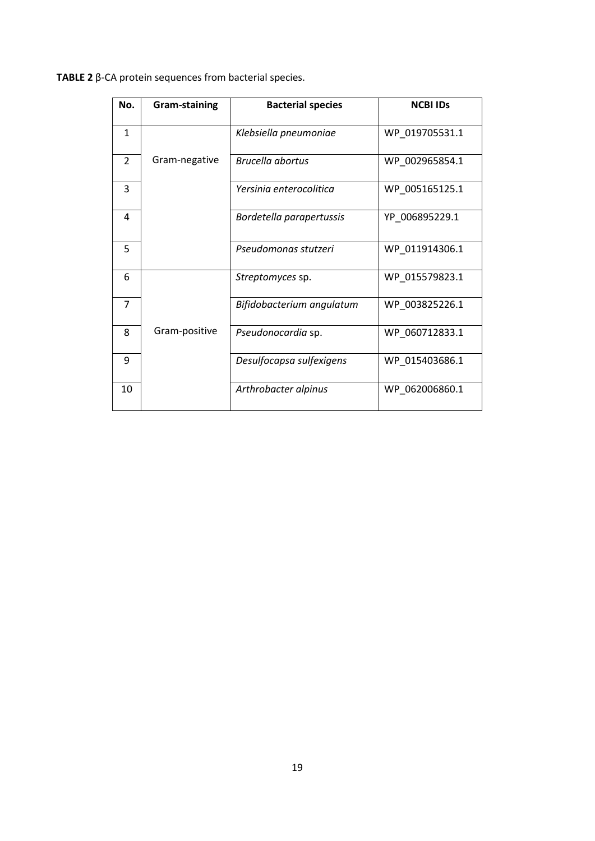| TABLE 2 $\beta$ -CA protein sequences from bacterial species. |  |
|---------------------------------------------------------------|--|
|---------------------------------------------------------------|--|

| No.            | Gram-staining | <b>Bacterial species</b>  | <b>NCBI IDS</b> |
|----------------|---------------|---------------------------|-----------------|
| 1              |               | Klebsiella pneumoniae     | WP 019705531.1  |
| $\overline{2}$ | Gram-negative | Brucella abortus          | WP 002965854.1  |
| 3              |               | Yersinia enterocolitica   | WP 005165125.1  |
| 4              |               | Bordetella parapertussis  | YP_006895229.1  |
| 5              |               | Pseudomonas stutzeri      | WP_011914306.1  |
| 6              |               | Streptomyces sp.          | WP 015579823.1  |
| $\overline{7}$ |               | Bifidobacterium angulatum | WP 003825226.1  |
| 8              | Gram-positive | Pseudonocardia sp.        | WP 060712833.1  |
| 9              |               | Desulfocapsa sulfexigens  | WP_015403686.1  |
| 10             |               | Arthrobacter alpinus      | WP 062006860.1  |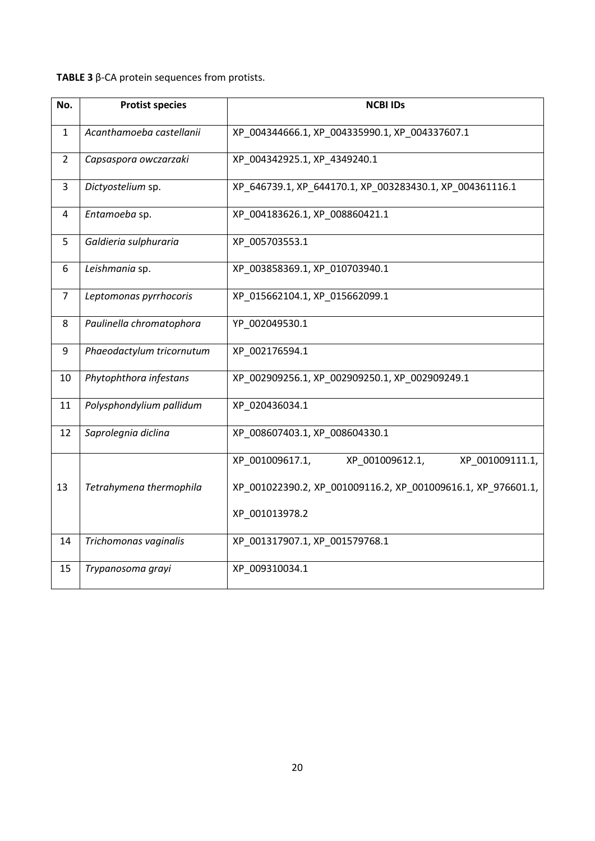# **TABLE 3** β-CA protein sequences from protists.

| No.            | <b>Protist species</b>    | <b>NCBI IDs</b>                                              |  |
|----------------|---------------------------|--------------------------------------------------------------|--|
| 1              | Acanthamoeba castellanii  | XP 004344666.1, XP 004335990.1, XP 004337607.1               |  |
| $\overline{2}$ | Capsaspora owczarzaki     | XP 004342925.1, XP 4349240.1                                 |  |
| 3              | Dictyostelium sp.         | XP_646739.1, XP_644170.1, XP_003283430.1, XP_004361116.1     |  |
| 4              | Entamoeba sp.             | XP_004183626.1, XP_008860421.1                               |  |
| 5              | Galdieria sulphuraria     | XP 005703553.1                                               |  |
| 6              | Leishmania sp.            | XP_003858369.1, XP_010703940.1                               |  |
| $\overline{7}$ | Leptomonas pyrrhocoris    | XP_015662104.1, XP_015662099.1                               |  |
| 8              | Paulinella chromatophora  | YP_002049530.1                                               |  |
| 9              | Phaeodactylum tricornutum | XP_002176594.1                                               |  |
| 10             | Phytophthora infestans    | XP_002909256.1, XP_002909250.1, XP_002909249.1               |  |
| 11             | Polysphondylium pallidum  | XP_020436034.1                                               |  |
| 12             | Saprolegnia diclina       | XP_008607403.1, XP_008604330.1                               |  |
|                |                           | XP_001009617.1,<br>XP_001009612.1,<br>XP_001009111.1,        |  |
| 13             | Tetrahymena thermophila   | XP_001022390.2, XP_001009116.2, XP_001009616.1, XP_976601.1, |  |
|                |                           | XP_001013978.2                                               |  |
| 14             | Trichomonas vaginalis     | XP_001317907.1, XP_001579768.1                               |  |
| 15             | Trypanosoma grayi         | XP_009310034.1                                               |  |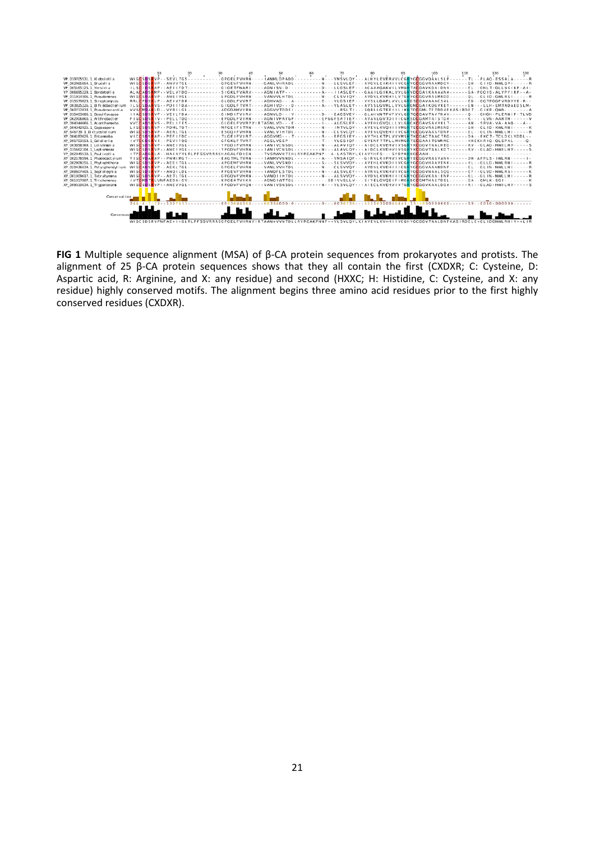

**FIG 1** Multiple sequence alignment (MSA) of β-CA protein sequences from prokaryotes and protists. The alignment of 25 β-CA protein sequences shows that they all contain the first (CXDXR; C: Cysteine, D: Aspartic acid, R: Arginine, and X: any residue) and second (HXXC; H: Histidine, C: Cysteine, and X: any residue) highly conserved motifs. The alignment begins three amino acid residues prior to the first highly conserved residues (CXDXR).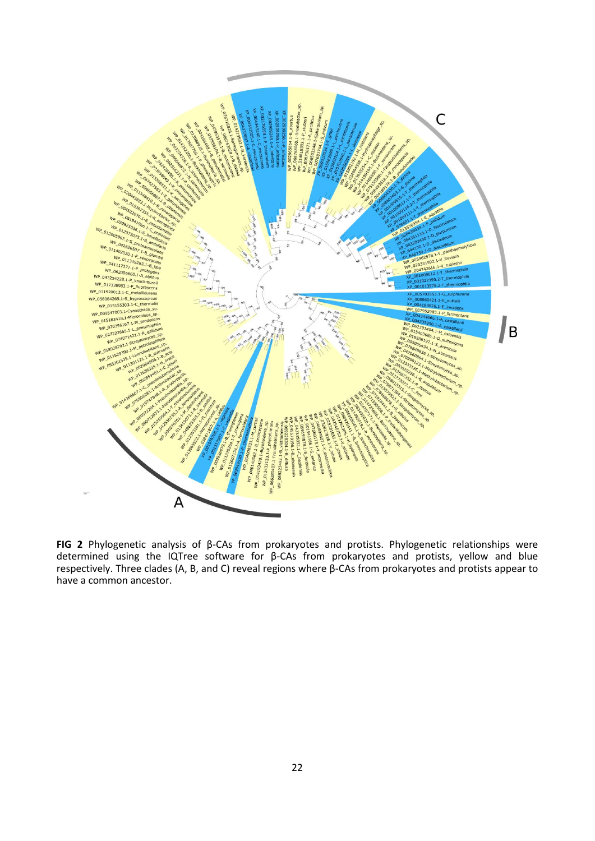

**FIG 2** Phylogenetic analysis of β-CAs from prokaryotes and protists. Phylogenetic relationships were determined using the IQTree software for β-CAs from prokaryotes and protists, yellow and blue respectively. Three clades (A, B, and C) reveal regions where β-CAs from prokaryotes and protists appear to have a common ancestor.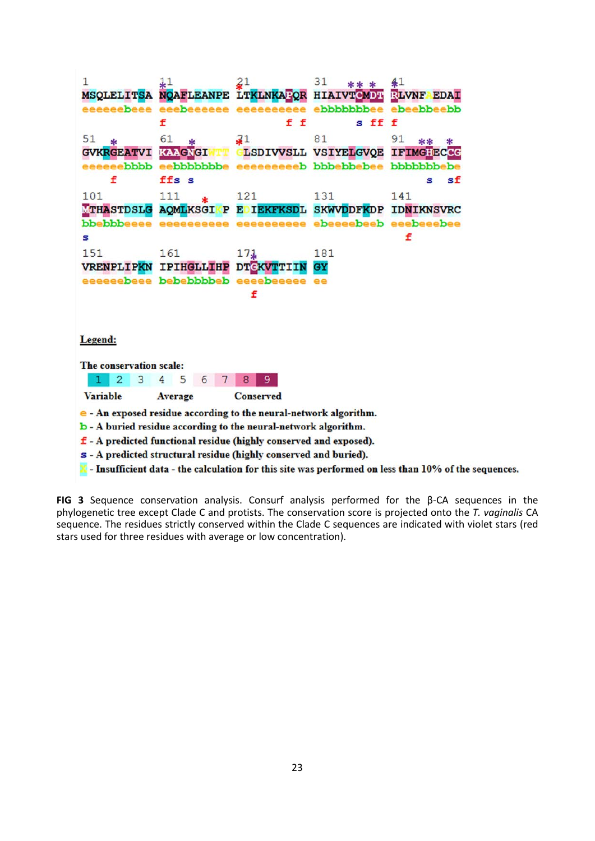$\mathbf{1}$  $\overline{11}$ 31 41 NOAFLEANPE LTKLNKAFOR HIAIVTCMDA RLVNF EDAI **MSOLELITSA** f f f s ff f 81 51 61 91 31  $\Delta$ sk sk TT GLSDIVVSLL VSIYELGVOE IFIMG: ECCC **GVKRGEATVI KAAGNGI** f ffs s sf g. 101 111 121 131 141 TTHASTDSLG AQMLKSGI P EDIEKFKSDL SKWVDDFKDP IDNIKNSVRC  $\mathbf{s}$ f 151 161 181  $17.1$ VRENPLIPKN IPIHGLLIHP DTEKVTTIIN GY eeeeeebeee bebebbbbeb eeeebeeeee ee f Legend: The conservation scale: 8 9  $1$  $\overline{2}$ 3  $\overline{4}$ 5  $6 \mid 7 \mid$ **Variable** Average **Conserved** e - An exposed residue according to the neural-network algorithm. b - A buried residue according to the neural-network algorithm. f - A predicted functional residue (highly conserved and exposed). s - A predicted structural residue (highly conserved and buried).  $X$  - Insufficient data - the calculation for this site was performed on less than  $10\%$  of the sequences.

**FIG 3** Sequence conservation analysis. Consurf analysis performed for the β-CA sequences in the phylogenetic tree except Clade C and protists. The conservation score is projected onto the *T. vaginalis* CA sequence. The residues strictly conserved within the Clade C sequences are indicated with violet stars (red stars used for three residues with average or low concentration).